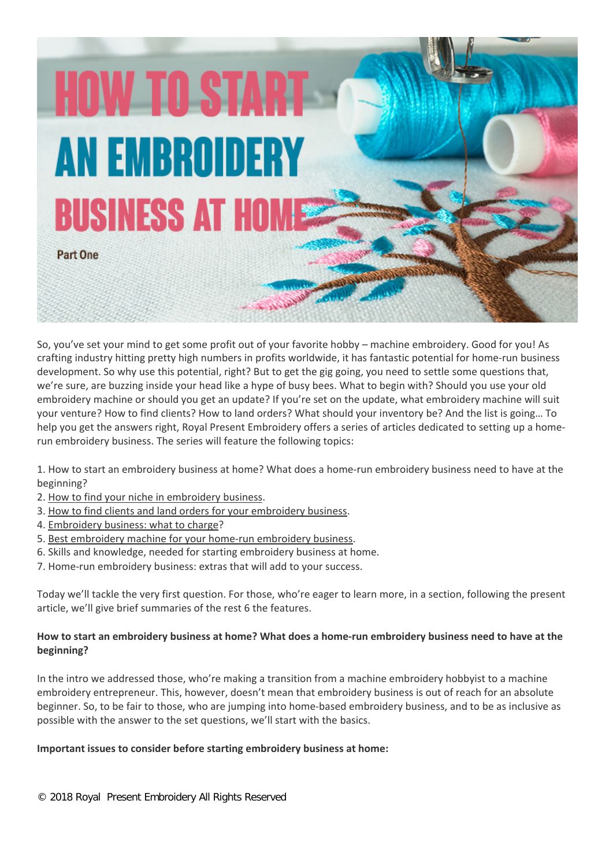**HOW TO START AN EMBROIDERY** BUSINESS AT H

Part One

So, you've set your mind to get some profit out of your favorite hobby – machine embroidery. Good for you! As crafting industry hitting pretty high numbers in profits worldwide, it has fantastic potential for home-run business development. So why use this potential, right? But to get the gig going, you need to settle some questions that, we're sure, are buzzing inside your head like a hype of busy bees. What to begin with? Should you use your old embroidery machine or should you get an update? If you're set on the update, what embroidery machine will suit your venture? How to find clients? How to land orders? What should your inventory be? And the list is going… To help you get the answers right, Royal Present Embroidery offers a series of articles dedicated to setting up a homerun embroidery business. The series will feature the following topics:

1. How to start an embroidery business at home? What does a home-run embroidery business need to have at the beginning?

- 2. [How to find your niche in embroidery business.](https://royal-present.com/2018/11/04/how-to-find-your-niche-in-embroidery-business/)
- 3. [How to find clients and land orders for your embroidery business.](https://royal-present.com/2018/11/17/how-to-find-clients-for-embroidery/)
- 4. [Embroidery business: what to charge?](https://royal-present.com/2018/10/30/home-embroidery-business-what-to-charge/)
- 5. [Best embroidery machine for your home-run embroidery business.](https://royal-present.com/2018/11/13/best-embroidery-machine-for-your-home-embroidery-business/)
- 6. Skills and knowledge, needed for starting embroidery business at home.
- 7. Home-run embroidery business: extras that will add to your success.

Today we'll tackle the very first question. For those, who're eager to learn more, in a section, following the present article, we'll give brief summaries of the rest 6 the features.

## **How to start an embroidery business at home? What does a home-run embroidery business need to have at the beginning?**

In the intro we addressed those, who're making a transition from a machine embroidery hobbyist to a machine embroidery entrepreneur. This, however, doesn't mean that embroidery business is out of reach for an absolute beginner. So, to be fair to those, who are jumping into home-based embroidery business, and to be as inclusive as possible with the answer to the set questions, we'll start with the basics.

#### **Important issues to consider before starting embroidery business at home:**

© 2018 Royal Present Embroidery All Rights Reserve[d](https://royal-present.com/%23!/FLS-Christmas-Motifs-Machine-Embroidery-Designs-set/p/44739217)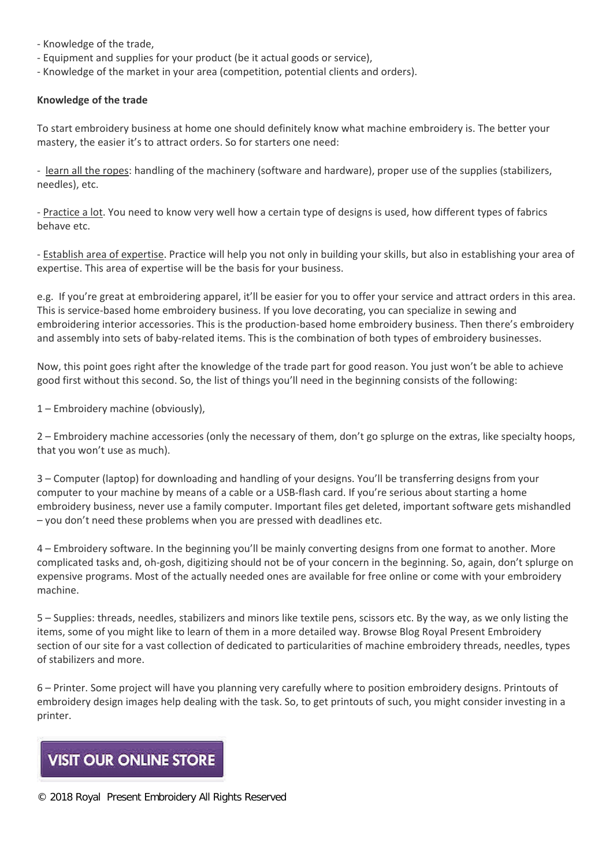- Knowledge of the trade,

- Equipment and supplies for your product (be it actual goods or service),
- Knowledge of the market in your area (competition, potential clients and orders).

### **Knowledge of the trade**

To start embroidery business at home one should definitely know what machine embroidery is. The better your mastery, the easier it's to attract orders. So for starters one need:

- learn all the ropes: handling of the machinery (software and hardware), proper use of the supplies (stabilizers, needles), etc.

- Practice a lot. You need to know very well how a certain type of designs is used, how different types of fabrics behave etc.

- Establish area of expertise. Practice will help you not only in building your skills, but also in establishing your area of expertise. This area of expertise will be the basis for your business.

e.g. If you're great at embroidering apparel, it'll be easier for you to offer your service and attract orders in this area. This is service-based home embroidery business. If you love decorating, you can specialize in sewing and embroidering interior accessories. This is the production-based home embroidery business. Then there's embroidery and assembly into sets of baby-related items. This is the combination of both types of embroidery businesses.

Now, this point goes right after the knowledge of the trade part for good reason. You just won't be able to achieve good first without this second. So, the list of things you'll need in the beginning consists of the following:

1 – Embroidery machine (obviously),

2 – Embroidery machine accessories (only the necessary of them, don't go splurge on the extras, like specialty hoops, that you won't use as much).

3 – Computer (laptop) for downloading and handling of your designs. You'll be transferring designs from your computer to your machine by means of a cable or a USB-flash card. If you're serious about starting a home embroidery business, never use a family computer. Important files get deleted, important software gets mishandled – you don't need these problems when you are pressed with deadlines etc.

4 – Embroidery software. In the beginning you'll be mainly converting designs from one format to another. More complicated tasks and, oh-gosh, digitizing should not be of your concern in the beginning. So, again, don't splurge on expensive programs. Most of the actually needed ones are available for free online or come with your embroidery machine.

5 – Supplies: threads, needles, stabilizers and minors like textile pens, scissors etc. By the way, as we only listing the items, some of you might like to learn of them in a more detailed way. Browse Blog Royal Present Embroidery section of our site for a vast collection of dedicated to particularities of machine embroidery threads, needles, types of stabilizers and more.

6 – Printer. Some project will have you planning very carefully where to position embroidery designs. Printouts of embroidery design images help dealing with the task. So, to get printouts of such, you might consider investing in a printer.

# **VISIT OUR ONLINE STORE**

© 2018 Royal Present Embroidery All Rights Reserve[d](https://royal-present.com/%23!/FLS-Christmas-Motifs-Machine-Embroidery-Designs-set/p/44739217)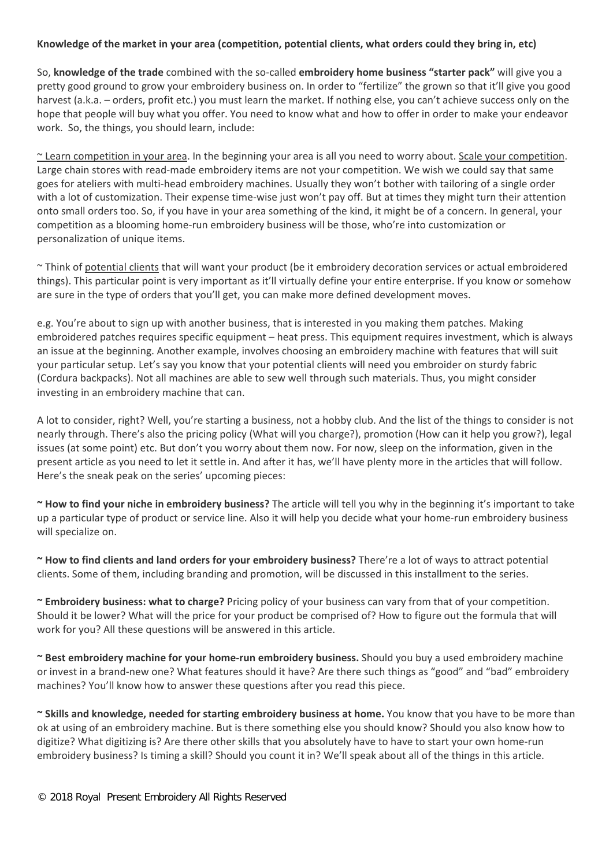### **Knowledge of the market in your area (competition, potential clients, what orders could they bring in, etc)**

So, **knowledge of the trade** combined with the so-called **embroidery home business "starter pack"** will give you a pretty good ground to grow your embroidery business on. In order to "fertilize" the grown so that it'll give you good harvest (a.k.a. – orders, profit etc.) you must learn the market. If nothing else, you can't achieve success only on the hope that people will buy what you offer. You need to know what and how to offer in order to make your endeavor work. So, the things, you should learn, include:

~ Learn competition in your area. In the beginning your area is all you need to worry about. Scale your competition. Large chain stores with read-made embroidery items are not your competition. We wish we could say that same goes for ateliers with multi-head embroidery machines. Usually they won't bother with tailoring of a single order with a lot of customization. Their expense time-wise just won't pay off. But at times they might turn their attention onto small orders too. So, if you have in your area something of the kind, it might be of a concern. In general, your competition as a blooming home-run embroidery business will be those, who're into customization or personalization of unique items.

~ Think of potential clients that will want your product (be it embroidery decoration services or actual embroidered things). This particular point is very important as it'll virtually define your entire enterprise. If you know or somehow are sure in the type of orders that you'll get, you can make more defined development moves.

e.g. You're about to sign up with another business, that is interested in you making them patches. Making embroidered patches requires specific equipment – heat press. This equipment requires investment, which is always an issue at the beginning. Another example, involves choosing an embroidery machine with features that will suit your particular setup. Let's say you know that your potential clients will need you embroider on sturdy fabric (Cordura backpacks). Not all machines are able to sew well through such materials. Thus, you might consider investing in an embroidery machine that can.

A lot to consider, right? Well, you're starting a business, not a hobby club. And the list of the things to consider is not nearly through. There's also the pricing policy (What will you charge?), promotion (How can it help you grow?), legal issues (at some point) etc. But don't you worry about them now. For now, sleep on the information, given in the present article as you need to let it settle in. And after it has, we'll have plenty more in the articles that will follow. Here's the sneak peak on the series' upcoming pieces:

**~ How to find your niche in embroidery business?** The article will tell you why in the beginning it's important to take up a particular type of product or service line. Also it will help you decide what your home-run embroidery business will specialize on.

**~ How to find clients and land orders for your embroidery business?** There're a lot of ways to attract potential clients. Some of them, including branding and promotion, will be discussed in this installment to the series.

**~ Embroidery business: what to charge?** Pricing policy of your business can vary from that of your competition. Should it be lower? What will the price for your product be comprised of? How to figure out the formula that will work for you? All these questions will be answered in this article.

**~ Best embroidery machine for your home-run embroidery business.** Should you buy a used embroidery machine or invest in a brand-new one? What features should it have? Are there such things as "good" and "bad" embroidery machines? You'll know how to answer these questions after you read this piece.

**~ Skills and knowledge, needed for starting embroidery business at home.** You know that you have to be more than ok at using of an embroidery machine. But is there something else you should know? Should you also know how to digitize? What digitizing is? Are there other skills that you absolutely have to have to start your own home-run embroidery business? Is timing a skill? Should you count it in? We'll speak about all of the things in this article.

© 2018 Royal Present Embroidery All Rights Reserve[d](https://royal-present.com/%23!/FLS-Christmas-Motifs-Machine-Embroidery-Designs-set/p/44739217)